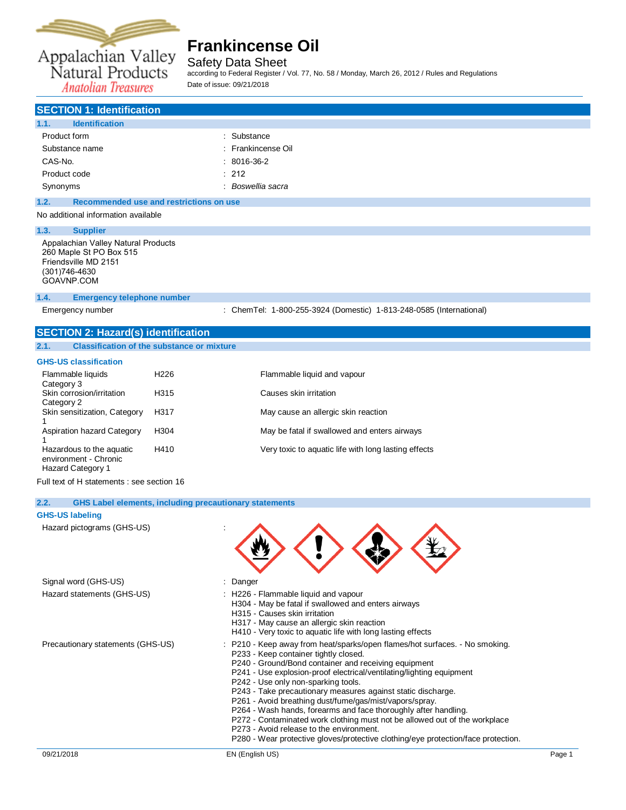

Safety Data Sheet

according to Federal Register / Vol. 77, No. 58 / Monday, March 26, 2012 / Rules and Regulations Date of issue: 09/21/2018

**Anatolian Treasures** 

| <b>SECTION 1: Identification</b>                                                       |                      |  |
|----------------------------------------------------------------------------------------|----------------------|--|
| 1.1.<br><b>Identification</b>                                                          |                      |  |
| Product form                                                                           | : Substance          |  |
| Substance name                                                                         | : Frankincense Oil   |  |
| CAS-No.                                                                                | $: 8016-36-2$        |  |
| Product code                                                                           | $\therefore$ 212     |  |
| Synonyms                                                                               | Boswellia sacra<br>٠ |  |
| 1.2.<br>Recommended use and restrictions on use                                        |                      |  |
| No additional information available                                                    |                      |  |
| 1.3.<br><b>Supplier</b>                                                                |                      |  |
| Appalachian Valley Natural Products<br>260 Maple St PO Box 515<br>Friendsville MD 2151 |                      |  |

Friendsville MD 2151 (301)746-4630 [GOAVNP.COM](file:///C:/Users/tchipman/AppData/Local/Temp/www.ThePerfumery.com)

### **1.4. Emergency telephone number**

Emergency number : ChemTel: 1-800-255-3924 (Domestic) 1-813-248-0585 (International)

### **SECTION 2: Hazard(s) identification**

### **2.1. Classification of the substance or mixture**

### **GHS-US classification**

| Flammable liquids<br>Category 3                                        | H <sub>226</sub> | Flammable liquid and vapour                          |
|------------------------------------------------------------------------|------------------|------------------------------------------------------|
| Skin corrosion/irritation<br>Category 2                                | H315             | Causes skin irritation                               |
| Skin sensitization, Category                                           | H317             | May cause an allergic skin reaction                  |
| Aspiration hazard Category                                             | H304             | May be fatal if swallowed and enters airways         |
| Hazardous to the aquatic<br>environment - Chronic<br>Hazard Category 1 | H410             | Very toxic to aquatic life with long lasting effects |

Full text of H statements : see section 16

### **2.2. GHS Label elements, including precautionary statements**

#### **GHS-US labeling**

Hazard pictograms (GHS-US) :

| $1.622$ and $1.000$ and $1.000$ and $1.000$ and $1.000$ and $1.000$ and $1.000$ and $1.000$ and $1.000$ and $1.000$ and $1.000$ and $1.000$ and $1.000$ and $1.000$ and $1.000$ and $1.000$ and $1.000$ and $1.000$ and $1.00$ |                                                                                                                                                                                                                                                                                                                                                                                                                                                                                                                                                                                                                                                                                                          |
|--------------------------------------------------------------------------------------------------------------------------------------------------------------------------------------------------------------------------------|----------------------------------------------------------------------------------------------------------------------------------------------------------------------------------------------------------------------------------------------------------------------------------------------------------------------------------------------------------------------------------------------------------------------------------------------------------------------------------------------------------------------------------------------------------------------------------------------------------------------------------------------------------------------------------------------------------|
| Signal word (GHS-US)                                                                                                                                                                                                           | : Danger                                                                                                                                                                                                                                                                                                                                                                                                                                                                                                                                                                                                                                                                                                 |
| Hazard statements (GHS-US)                                                                                                                                                                                                     | : H226 - Flammable liquid and vapour<br>H304 - May be fatal if swallowed and enters airways<br>H315 - Causes skin irritation<br>H317 - May cause an allergic skin reaction<br>H410 - Very toxic to aquatic life with long lasting effects                                                                                                                                                                                                                                                                                                                                                                                                                                                                |
| Precautionary statements (GHS-US)                                                                                                                                                                                              | : P210 - Keep away from heat/sparks/open flames/hot surfaces. - No smoking.<br>P233 - Keep container tightly closed.<br>P240 - Ground/Bond container and receiving equipment<br>P241 - Use explosion-proof electrical/ventilating/lighting equipment<br>P242 - Use only non-sparking tools.<br>P243 - Take precautionary measures against static discharge.<br>P261 - Avoid breathing dust/fume/gas/mist/vapors/spray.<br>P264 - Wash hands, forearms and face thoroughly after handling.<br>P272 - Contaminated work clothing must not be allowed out of the workplace<br>P273 - Avoid release to the environment.<br>P280 - Wear protective gloves/protective clothing/eye protection/face protection. |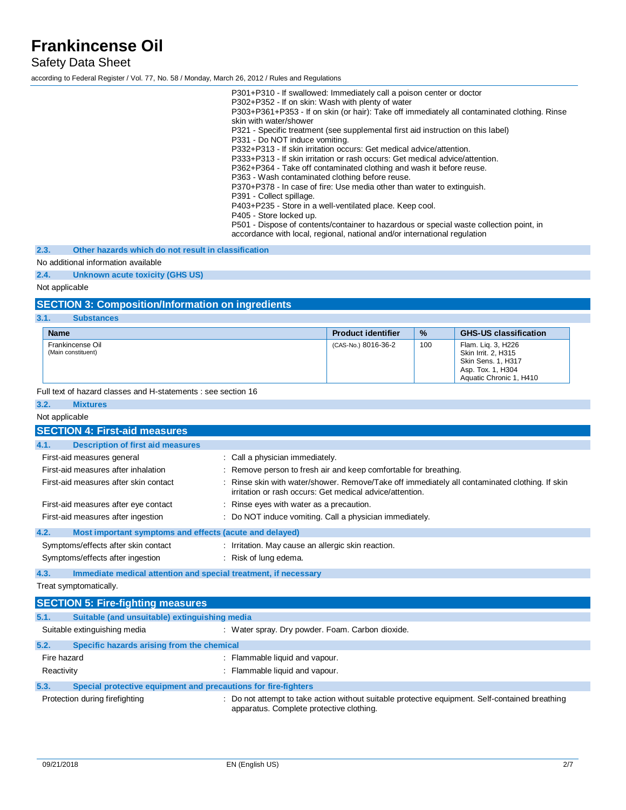Safety Data Sheet

according to Federal Register / Vol. 77, No. 58 / Monday, March 26, 2012 / Rules and Regulations

P301+P310 - If swallowed: Immediately call a poison center or doctor P302+P352 - If on skin: Wash with plenty of water P303+P361+P353 - If on skin (or hair): Take off immediately all contaminated clothing. Rinse skin with water/shower P321 - Specific treatment (see supplemental first aid instruction on this label) P331 - Do NOT induce vomiting. P332+P313 - If skin irritation occurs: Get medical advice/attention. P333+P313 - If skin irritation or rash occurs: Get medical advice/attention. P362+P364 - Take off contaminated clothing and wash it before reuse. P363 - Wash contaminated clothing before reuse. P370+P378 - In case of fire: Use media other than water to extinguish. P391 - Collect spillage. P403+P235 - Store in a well-ventilated place. Keep cool. P405 - Store locked up. P501 - Dispose of contents/container to hazardous or special waste collection point, in

accordance with local, regional, national and/or international regulation

**2.3. Other hazards which do not result in classification**

### No additional information available

**2.4. Unknown acute toxicity (GHS US)**

### Not applicable

### **SECTION 3: Composition/Information on ingredients**

#### **3.1. Substances**

| <b>Name</b>                            | <b>Product identifier</b> | $\frac{9}{6}$ | <b>GHS-US classification</b>                                                                                    |
|----------------------------------------|---------------------------|---------------|-----------------------------------------------------------------------------------------------------------------|
| Frankincense Oil<br>(Main constituent) | (CAS-No.) 8016-36-2       | 100           | Flam. Lig. 3, H226<br>Skin Irrit. 2, H315<br>Skin Sens. 1, H317<br>Asp. Tox. 1, H304<br>Aquatic Chronic 1, H410 |

Full text of hazard classes and H-statements : see section 16

### **3.2. Mixtures** Not applicable **SECTION 4: First-aid measures 4.1. Description of first aid measures** First-aid measures general : Call a physician immediately. First-aid measures after inhalation : Remove person to fresh air and keep comfortable for breathing. First-aid measures after skin contact : Rinse skin with water/shower. Remove/Take off immediately all contaminated clothing. If skin irritation or rash occurs: Get medical advice/attention. First-aid measures after eye contact : Rinse eyes with water as a precaution. First-aid measures after ingestion : Do NOT induce vomiting. Call a physician immediately. **4.2. Most important symptoms and effects (acute and delayed)** Symptoms/effects after skin contact : Irritation. May cause an allergic skin reaction. Symptoms/effects after ingestion : Risk of lung edema. **4.3. Immediate medical attention and special treatment, if necessary**

Treat symptomatically.

|             | <b>SECTION 5: Fire-fighting measures</b>                       |                                                                                                                                             |  |
|-------------|----------------------------------------------------------------|---------------------------------------------------------------------------------------------------------------------------------------------|--|
| 5.1.        | Suitable (and unsuitable) extinguishing media                  |                                                                                                                                             |  |
|             | Suitable extinguishing media                                   | : Water spray. Dry powder. Foam. Carbon dioxide.                                                                                            |  |
| 5.2.        | Specific hazards arising from the chemical                     |                                                                                                                                             |  |
| Fire hazard |                                                                | : Flammable liquid and vapour.                                                                                                              |  |
| Reactivity  |                                                                | : Flammable liquid and vapour.                                                                                                              |  |
| 5.3.        | Special protective equipment and precautions for fire-fighters |                                                                                                                                             |  |
|             | Protection during firefighting                                 | : Do not attempt to take action without suitable protective equipment. Self-contained breathing<br>apparatus. Complete protective clothing. |  |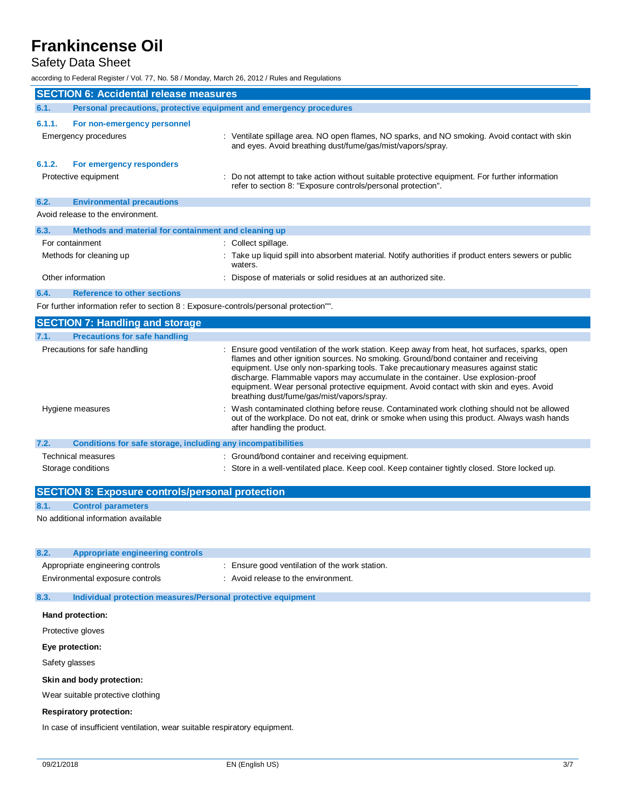## Safety Data Sheet

according to Federal Register / Vol. 77, No. 58 / Monday, March 26, 2012 / Rules and Regulations

| <b>SECTION 6: Accidental release measures</b> |                                                                                       |                                                                                                                                                                                                                                                                                                                                                                                                                                                                                                      |  |
|-----------------------------------------------|---------------------------------------------------------------------------------------|------------------------------------------------------------------------------------------------------------------------------------------------------------------------------------------------------------------------------------------------------------------------------------------------------------------------------------------------------------------------------------------------------------------------------------------------------------------------------------------------------|--|
| 6.1.                                          | Personal precautions, protective equipment and emergency procedures                   |                                                                                                                                                                                                                                                                                                                                                                                                                                                                                                      |  |
| 6.1.1.                                        | For non-emergency personnel<br><b>Emergency procedures</b>                            | : Ventilate spillage area. NO open flames, NO sparks, and NO smoking. Avoid contact with skin                                                                                                                                                                                                                                                                                                                                                                                                        |  |
| 6.1.2.                                        | For emergency responders<br>Protective equipment                                      | and eyes. Avoid breathing dust/fume/gas/mist/vapors/spray.<br>Do not attempt to take action without suitable protective equipment. For further information                                                                                                                                                                                                                                                                                                                                           |  |
|                                               |                                                                                       | refer to section 8: "Exposure controls/personal protection".                                                                                                                                                                                                                                                                                                                                                                                                                                         |  |
| 6.2.                                          | <b>Environmental precautions</b>                                                      |                                                                                                                                                                                                                                                                                                                                                                                                                                                                                                      |  |
|                                               | Avoid release to the environment.                                                     |                                                                                                                                                                                                                                                                                                                                                                                                                                                                                                      |  |
| 6.3.                                          | Methods and material for containment and cleaning up                                  |                                                                                                                                                                                                                                                                                                                                                                                                                                                                                                      |  |
|                                               | For containment                                                                       | : Collect spillage.                                                                                                                                                                                                                                                                                                                                                                                                                                                                                  |  |
|                                               | Methods for cleaning up                                                               | : Take up liquid spill into absorbent material. Notify authorities if product enters sewers or public<br>waters.                                                                                                                                                                                                                                                                                                                                                                                     |  |
|                                               | Other information                                                                     | Dispose of materials or solid residues at an authorized site.                                                                                                                                                                                                                                                                                                                                                                                                                                        |  |
| 6.4.                                          | <b>Reference to other sections</b>                                                    |                                                                                                                                                                                                                                                                                                                                                                                                                                                                                                      |  |
|                                               | For further information refer to section 8 : Exposure-controls/personal protection"". |                                                                                                                                                                                                                                                                                                                                                                                                                                                                                                      |  |
|                                               | <b>SECTION 7: Handling and storage</b>                                                |                                                                                                                                                                                                                                                                                                                                                                                                                                                                                                      |  |
| 7.1.                                          | <b>Precautions for safe handling</b>                                                  |                                                                                                                                                                                                                                                                                                                                                                                                                                                                                                      |  |
|                                               | Precautions for safe handling                                                         | Ensure good ventilation of the work station. Keep away from heat, hot surfaces, sparks, open<br>flames and other ignition sources. No smoking. Ground/bond container and receiving<br>equipment. Use only non-sparking tools. Take precautionary measures against static<br>discharge. Flammable vapors may accumulate in the container. Use explosion-proof<br>equipment. Wear personal protective equipment. Avoid contact with skin and eyes. Avoid<br>breathing dust/fume/gas/mist/vapors/spray. |  |
|                                               | Hygiene measures                                                                      | Wash contaminated clothing before reuse. Contaminated work clothing should not be allowed<br>out of the workplace. Do not eat, drink or smoke when using this product. Always wash hands<br>after handling the product.                                                                                                                                                                                                                                                                              |  |
| 7.2.                                          | Conditions for safe storage, including any incompatibilities                          |                                                                                                                                                                                                                                                                                                                                                                                                                                                                                                      |  |
|                                               | Technical measures                                                                    | : Ground/bond container and receiving equipment.                                                                                                                                                                                                                                                                                                                                                                                                                                                     |  |
|                                               | Storage conditions                                                                    | Store in a well-ventilated place. Keep cool. Keep container tightly closed. Store locked up.                                                                                                                                                                                                                                                                                                                                                                                                         |  |

| <b>SECTION 8: Exposure controls/personal protection</b> |                                     |  |
|---------------------------------------------------------|-------------------------------------|--|
| 8.1.                                                    | <b>Control parameters</b>           |  |
|                                                         | No additional information available |  |

### **8.2. Appropriate engineering controls**

| Appropriate engineering controls | : Ensure good ventilation of the work station. |
|----------------------------------|------------------------------------------------|
| Environmental exposure controls  | : Avoid release to the environment.            |

## **8.3. Individual protection measures/Personal protective equipment**

**Hand protection:**

Protective gloves

**Eye protection:**

Safety glasses

**Skin and body protection:**

Wear suitable protective clothing

### **Respiratory protection:**

In case of insufficient ventilation, wear suitable respiratory equipment.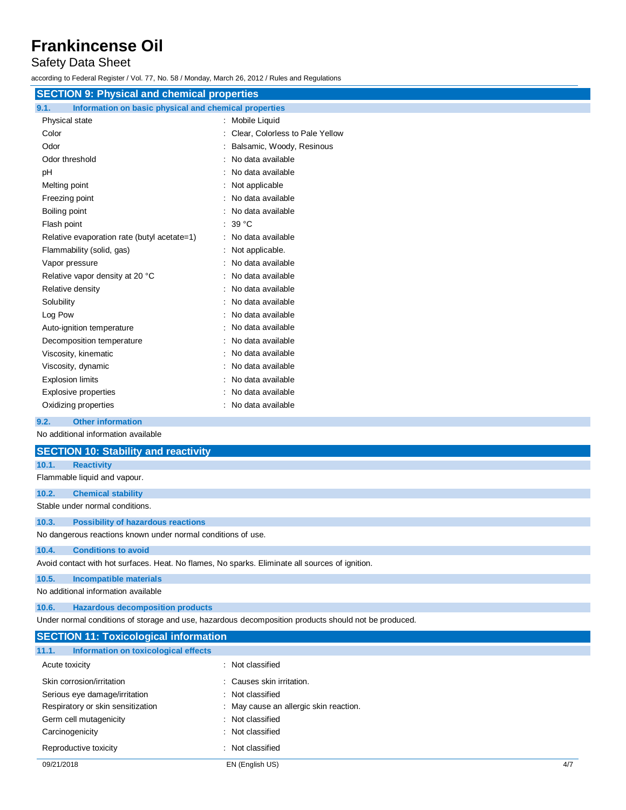## Safety Data Sheet

according to Federal Register / Vol. 77, No. 58 / Monday, March 26, 2012 / Rules and Regulations

| <b>SECTION 9: Physical and chemical properties</b>            |                                 |  |
|---------------------------------------------------------------|---------------------------------|--|
| 9.1.<br>Information on basic physical and chemical properties |                                 |  |
| Physical state                                                | : Mobile Liquid                 |  |
| Color                                                         | Clear, Colorless to Pale Yellow |  |
| Odor                                                          | Balsamic, Woody, Resinous       |  |
| Odor threshold                                                | No data available               |  |
| pH                                                            | No data available               |  |
| Melting point                                                 | Not applicable                  |  |
| Freezing point                                                | No data available               |  |
| Boiling point                                                 | No data available<br>÷          |  |
| Flash point                                                   | 39 °C                           |  |
| Relative evaporation rate (butyl acetate=1)                   | : No data available             |  |
| Flammability (solid, gas)                                     | Not applicable.                 |  |
| Vapor pressure                                                | No data available               |  |
| Relative vapor density at 20 °C                               | No data available               |  |
| Relative density                                              | No data available               |  |
| Solubility                                                    | No data available               |  |
| Log Pow                                                       | No data available               |  |
| Auto-ignition temperature                                     | No data available               |  |
| Decomposition temperature                                     | No data available               |  |
| Viscosity, kinematic                                          | No data available<br>$\bullet$  |  |
| Viscosity, dynamic                                            | No data available<br>÷          |  |
| <b>Explosion limits</b>                                       | No data available<br>÷          |  |
| Explosive properties                                          | No data available               |  |
| Oxidizing properties                                          | No data available               |  |

**9.2. Other information**

No additional information available

|                                                                                                 | <b>SECTION 10: Stability and reactivity</b>                                                          |  |  |  |
|-------------------------------------------------------------------------------------------------|------------------------------------------------------------------------------------------------------|--|--|--|
| 10.1.                                                                                           | <b>Reactivity</b>                                                                                    |  |  |  |
|                                                                                                 | Flammable liquid and vapour.                                                                         |  |  |  |
| 10.2.                                                                                           | <b>Chemical stability</b>                                                                            |  |  |  |
|                                                                                                 | Stable under normal conditions.                                                                      |  |  |  |
| 10.3.                                                                                           | <b>Possibility of hazardous reactions</b>                                                            |  |  |  |
| No dangerous reactions known under normal conditions of use.                                    |                                                                                                      |  |  |  |
| 10.4.                                                                                           | <b>Conditions to avoid</b>                                                                           |  |  |  |
| Avoid contact with hot surfaces. Heat. No flames, No sparks. Eliminate all sources of ignition. |                                                                                                      |  |  |  |
| 10.5.                                                                                           | Incompatible materials                                                                               |  |  |  |
| No additional information available                                                             |                                                                                                      |  |  |  |
| 10.6.                                                                                           | <b>Hazardous decomposition products</b>                                                              |  |  |  |
|                                                                                                 | Under normal conditions of storage and use, hazardous decomposition products should not be produced. |  |  |  |
|                                                                                                 | <b>SECTION 11: Toxicological information</b>                                                         |  |  |  |

| Information on toxicological effects<br>11.1. |                                        |     |
|-----------------------------------------------|----------------------------------------|-----|
| Acute toxicity                                | : Not classified                       |     |
| Skin corrosion/irritation                     | : Causes skin irritation.              |     |
| Serious eye damage/irritation                 | : Not classified                       |     |
| Respiratory or skin sensitization             | : May cause an allergic skin reaction. |     |
| Germ cell mutagenicity                        | : Not classified                       |     |
| Carcinogenicity                               | : Not classified                       |     |
| Reproductive toxicity                         | : Not classified                       |     |
| 09/21/2018                                    | EN (English US)                        | 4/7 |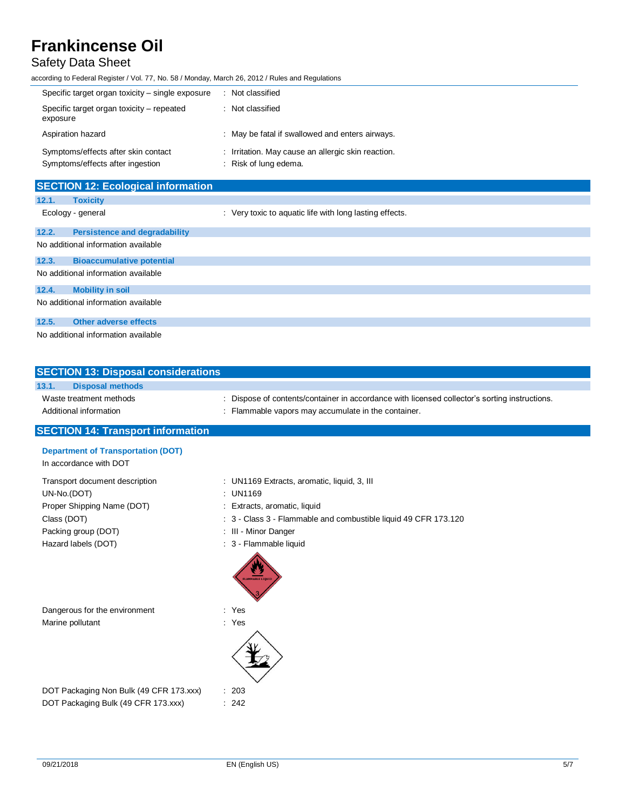## Safety Data Sheet

according to Federal Register / Vol. 77, No. 58 / Monday, March 26, 2012 / Rules and Regulations

| Specific target organ toxicity – single exposure                        | Not classified                                                              |
|-------------------------------------------------------------------------|-----------------------------------------------------------------------------|
| Specific target organ toxicity – repeated<br>exposure                   | : Not classified                                                            |
| Aspiration hazard                                                       | : May be fatal if swallowed and enters airways.                             |
| Symptoms/effects after skin contact<br>Symptoms/effects after ingestion | : Irritation. May cause an allergic skin reaction.<br>: Risk of lung edema. |

| <b>SECTION 12: Ecological information</b> |                                      |                                                         |  |  |  |
|-------------------------------------------|--------------------------------------|---------------------------------------------------------|--|--|--|
| 12.1.                                     | <b>Toxicity</b>                      |                                                         |  |  |  |
| Ecology - general                         |                                      | : Very toxic to aquatic life with long lasting effects. |  |  |  |
| 12.2.                                     | <b>Persistence and degradability</b> |                                                         |  |  |  |
| No additional information available       |                                      |                                                         |  |  |  |
| 12.3.                                     | <b>Bioaccumulative potential</b>     |                                                         |  |  |  |
| No additional information available       |                                      |                                                         |  |  |  |
| 12.4.                                     | <b>Mobility in soil</b>              |                                                         |  |  |  |
| No additional information available       |                                      |                                                         |  |  |  |
| 12.5.                                     | <b>Other adverse effects</b>         |                                                         |  |  |  |
| No additional information available       |                                      |                                                         |  |  |  |

| <b>SECTION 13: Disposal considerations</b> |                         |                                                                                             |  |  |  |  |
|--------------------------------------------|-------------------------|---------------------------------------------------------------------------------------------|--|--|--|--|
| 13.1.                                      | <b>Disposal methods</b> |                                                                                             |  |  |  |  |
| Waste treatment methods                    |                         | Dispose of contents/container in accordance with licensed collector's sorting instructions. |  |  |  |  |
| Additional information                     |                         | . Flammable vapors may accumulate in the container.                                         |  |  |  |  |
|                                            |                         |                                                                                             |  |  |  |  |

### **SECTION 14: Transport information**

| <b>Department of Transportation (DOT)</b> |                                                                 |
|-------------------------------------------|-----------------------------------------------------------------|
| In accordance with DOT                    |                                                                 |
| Transport document description            | : UN1169 Extracts, aromatic, liquid, 3, III                     |
| UN-No.(DOT)                               | : UN1169                                                        |
| Proper Shipping Name (DOT)                | : Extracts, aromatic, liquid                                    |
| Class (DOT)                               | : 3 - Class 3 - Flammable and combustible liquid 49 CFR 173.120 |
| Packing group (DOT)                       | : III - Minor Danger                                            |
| Hazard labels (DOT)                       | : 3 - Flammable liquid                                          |
|                                           |                                                                 |

Dangerous for the environment : Yes Marine pollutant in the set of the set of the set of the set of the set of the set of the set of the set of the set of the set of the set of the set of the set of the set of the set of the set of the set of the set of the

DOT Packaging Non Bulk (49 CFR 173.xxx) : 203 DOT Packaging Bulk (49 CFR 173.xxx) : 242

09/21/2018 EN (English US) 5/7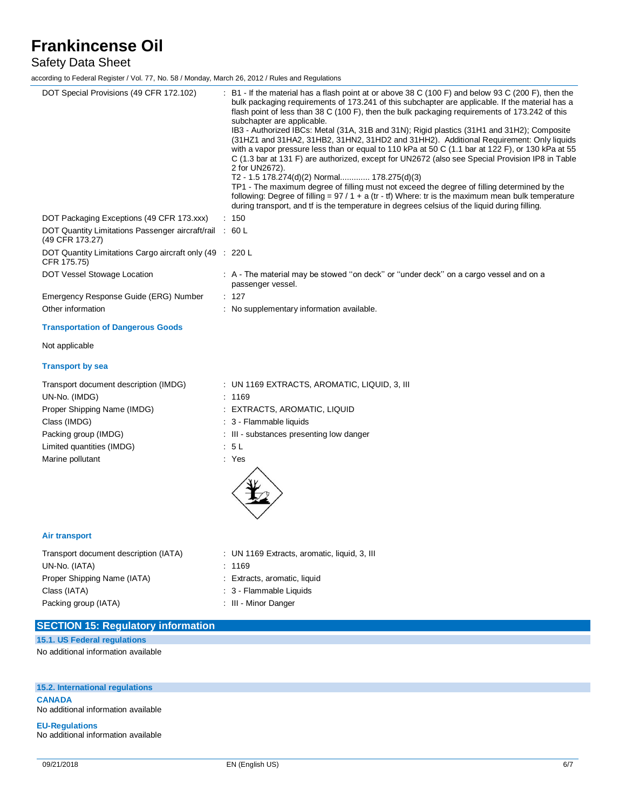## Safety Data Sheet

according to Federal Register / Vol. 77, No. 58 / Monday, March 26, 2012 / Rules and Regulations

| DOT Special Provisions (49 CFR 172.102)                                    | : B1 - If the material has a flash point at or above 38 C (100 F) and below 93 C (200 F), then the<br>bulk packaging requirements of 173.241 of this subchapter are applicable. If the material has a<br>flash point of less than 38 C (100 F), then the bulk packaging requirements of 173.242 of this<br>subchapter are applicable.<br>IB3 - Authorized IBCs: Metal (31A, 31B and 31N); Rigid plastics (31H1 and 31H2); Composite<br>(31HZ1 and 31HA2, 31HB2, 31HN2, 31HD2 and 31HH2). Additional Requirement: Only liquids<br>with a vapor pressure less than or equal to 110 kPa at 50 C (1.1 bar at 122 F), or 130 kPa at 55<br>C (1.3 bar at 131 F) are authorized, except for UN2672 (also see Special Provision IP8 in Table<br>2 for UN2672).<br>T2 - 1.5 178.274(d)(2) Normal 178.275(d)(3)<br>TP1 - The maximum degree of filling must not exceed the degree of filling determined by the<br>following: Degree of filling = $97/1 + a$ (tr - tf) Where: tr is the maximum mean bulk temperature<br>during transport, and if is the temperature in degrees celsius of the liquid during filling. |
|----------------------------------------------------------------------------|------------------------------------------------------------------------------------------------------------------------------------------------------------------------------------------------------------------------------------------------------------------------------------------------------------------------------------------------------------------------------------------------------------------------------------------------------------------------------------------------------------------------------------------------------------------------------------------------------------------------------------------------------------------------------------------------------------------------------------------------------------------------------------------------------------------------------------------------------------------------------------------------------------------------------------------------------------------------------------------------------------------------------------------------------------------------------------------------------------|
| DOT Packaging Exceptions (49 CFR 173.xxx)                                  | : 150                                                                                                                                                                                                                                                                                                                                                                                                                                                                                                                                                                                                                                                                                                                                                                                                                                                                                                                                                                                                                                                                                                      |
| DOT Quantity Limitations Passenger aircraft/rail : 60 L<br>(49 CFR 173.27) |                                                                                                                                                                                                                                                                                                                                                                                                                                                                                                                                                                                                                                                                                                                                                                                                                                                                                                                                                                                                                                                                                                            |
| DOT Quantity Limitations Cargo aircraft only (49 : 220 L<br>CFR 175.75)    |                                                                                                                                                                                                                                                                                                                                                                                                                                                                                                                                                                                                                                                                                                                                                                                                                                                                                                                                                                                                                                                                                                            |
| DOT Vessel Stowage Location                                                | : A - The material may be stowed "on deck" or "under deck" on a cargo vessel and on a<br>passenger vessel.                                                                                                                                                                                                                                                                                                                                                                                                                                                                                                                                                                                                                                                                                                                                                                                                                                                                                                                                                                                                 |
| Emergency Response Guide (ERG) Number                                      | : 127                                                                                                                                                                                                                                                                                                                                                                                                                                                                                                                                                                                                                                                                                                                                                                                                                                                                                                                                                                                                                                                                                                      |
| Other information                                                          | : No supplementary information available.                                                                                                                                                                                                                                                                                                                                                                                                                                                                                                                                                                                                                                                                                                                                                                                                                                                                                                                                                                                                                                                                  |
| <b>Transportation of Dangerous Goods</b>                                   |                                                                                                                                                                                                                                                                                                                                                                                                                                                                                                                                                                                                                                                                                                                                                                                                                                                                                                                                                                                                                                                                                                            |
| Not applicable                                                             |                                                                                                                                                                                                                                                                                                                                                                                                                                                                                                                                                                                                                                                                                                                                                                                                                                                                                                                                                                                                                                                                                                            |
| <b>Transport by sea</b>                                                    |                                                                                                                                                                                                                                                                                                                                                                                                                                                                                                                                                                                                                                                                                                                                                                                                                                                                                                                                                                                                                                                                                                            |
| Transport document description (IMDG)                                      | : UN 1169 EXTRACTS, AROMATIC, LIQUID, 3, III                                                                                                                                                                                                                                                                                                                                                                                                                                                                                                                                                                                                                                                                                                                                                                                                                                                                                                                                                                                                                                                               |
| UN-No. (IMDG)                                                              | : 1169                                                                                                                                                                                                                                                                                                                                                                                                                                                                                                                                                                                                                                                                                                                                                                                                                                                                                                                                                                                                                                                                                                     |
| Proper Shipping Name (IMDG)                                                | : EXTRACTS, AROMATIC, LIQUID                                                                                                                                                                                                                                                                                                                                                                                                                                                                                                                                                                                                                                                                                                                                                                                                                                                                                                                                                                                                                                                                               |
| Class (IMDG)                                                               | : 3 - Flammable liquids                                                                                                                                                                                                                                                                                                                                                                                                                                                                                                                                                                                                                                                                                                                                                                                                                                                                                                                                                                                                                                                                                    |
| Packing group (IMDG)                                                       | : III - substances presenting low danger                                                                                                                                                                                                                                                                                                                                                                                                                                                                                                                                                                                                                                                                                                                                                                                                                                                                                                                                                                                                                                                                   |
| Limited quantities (IMDG)                                                  | : 5L                                                                                                                                                                                                                                                                                                                                                                                                                                                                                                                                                                                                                                                                                                                                                                                                                                                                                                                                                                                                                                                                                                       |
| Marine pollutant                                                           | : Yes                                                                                                                                                                                                                                                                                                                                                                                                                                                                                                                                                                                                                                                                                                                                                                                                                                                                                                                                                                                                                                                                                                      |
| <b>Air transport</b>                                                       |                                                                                                                                                                                                                                                                                                                                                                                                                                                                                                                                                                                                                                                                                                                                                                                                                                                                                                                                                                                                                                                                                                            |
| Transport document description (IATA)                                      | : UN 1169 Extracts, aromatic, liquid, 3, III                                                                                                                                                                                                                                                                                                                                                                                                                                                                                                                                                                                                                                                                                                                                                                                                                                                                                                                                                                                                                                                               |
| UN-No. (IATA)                                                              | : 1169                                                                                                                                                                                                                                                                                                                                                                                                                                                                                                                                                                                                                                                                                                                                                                                                                                                                                                                                                                                                                                                                                                     |
| Proper Shipping Name (IATA)                                                | : Extracts, aromatic, liquid                                                                                                                                                                                                                                                                                                                                                                                                                                                                                                                                                                                                                                                                                                                                                                                                                                                                                                                                                                                                                                                                               |
| Class (IATA)                                                               | : 3 - Flammable Liquids                                                                                                                                                                                                                                                                                                                                                                                                                                                                                                                                                                                                                                                                                                                                                                                                                                                                                                                                                                                                                                                                                    |
| Packing group (IATA)                                                       | : III - Minor Danger                                                                                                                                                                                                                                                                                                                                                                                                                                                                                                                                                                                                                                                                                                                                                                                                                                                                                                                                                                                                                                                                                       |

| <b>SECTION 15: Regulatory information</b> |  |
|-------------------------------------------|--|
| 15.1. US Federal regulations              |  |

No additional information available

## **15.2. International regulations**

**CANADA** No additional information available

**EU-Regulations** No additional information available